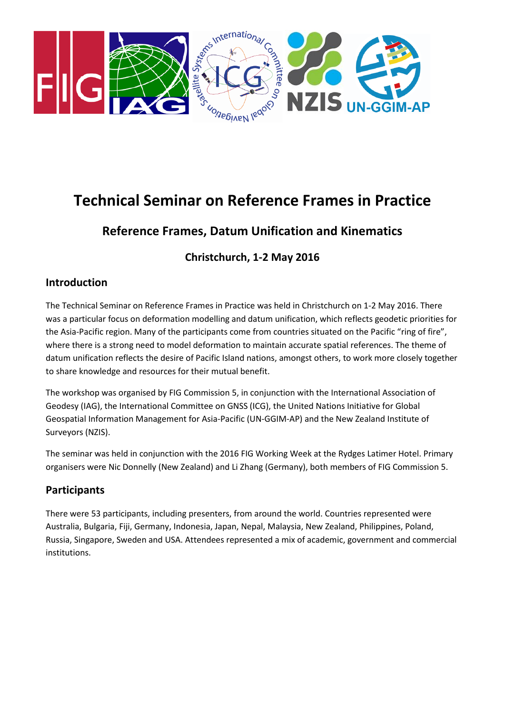

# **Technical Seminar on Reference Frames in Practice**

# **Reference Frames, Datum Unification and Kinematics**

**Christchurch, 1-2 May 2016**

### **Introduction**

The Technical Seminar on Reference Frames in Practice was held in Christchurch on 1-2 May 2016. There was a particular focus on deformation modelling and datum unification, which reflects geodetic priorities for the Asia-Pacific region. Many of the participants come from countries situated on the Pacific "ring of fire", where there is a strong need to model deformation to maintain accurate spatial references. The theme of datum unification reflects the desire of Pacific Island nations, amongst others, to work more closely together to share knowledge and resources for their mutual benefit.

The workshop was organised by FIG Commission 5, in conjunction with the International Association of Geodesy (IAG), the International Committee on GNSS (ICG), the United Nations Initiative for Global Geospatial Information Management for Asia-Pacific (UN-GGIM-AP) and the New Zealand Institute of Surveyors (NZIS).

The seminar was held in conjunction with the 2016 FIG Working Week at the Rydges Latimer Hotel. Primary organisers were Nic Donnelly (New Zealand) and Li Zhang (Germany), both members of FIG Commission 5.

## **Participants**

There were 53 participants, including presenters, from around the world. Countries represented were Australia, Bulgaria, Fiji, Germany, Indonesia, Japan, Nepal, Malaysia, New Zealand, Philippines, Poland, Russia, Singapore, Sweden and USA. Attendees represented a mix of academic, government and commercial institutions.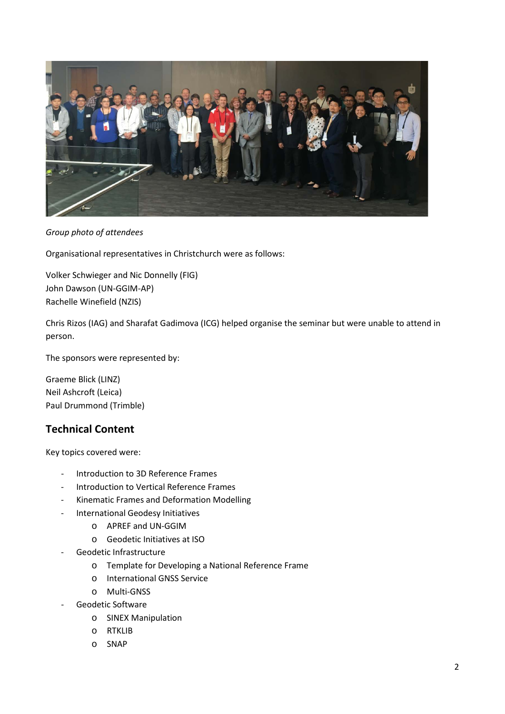

*Group photo of attendees*

Organisational representatives in Christchurch were as follows:

Volker Schwieger and Nic Donnelly (FIG) John Dawson (UN-GGIM-AP) Rachelle Winefield (NZIS)

Chris Rizos (IAG) and Sharafat Gadimova (ICG) helped organise the seminar but were unable to attend in person.

The sponsors were represented by:

Graeme Blick (LINZ) Neil Ashcroft (Leica) Paul Drummond (Trimble)

## **Technical Content**

Key topics covered were:

- Introduction to 3D Reference Frames
- Introduction to Vertical Reference Frames
- Kinematic Frames and Deformation Modelling
- International Geodesy Initiatives
	- o APREF and UN-GGIM
	- o Geodetic Initiatives at ISO
- Geodetic Infrastructure
	- o Template for Developing a National Reference Frame
	- o International GNSS Service
	- o Multi-GNSS
- Geodetic Software
	- o SINEX Manipulation
	- o RTKLIB
	- o SNAP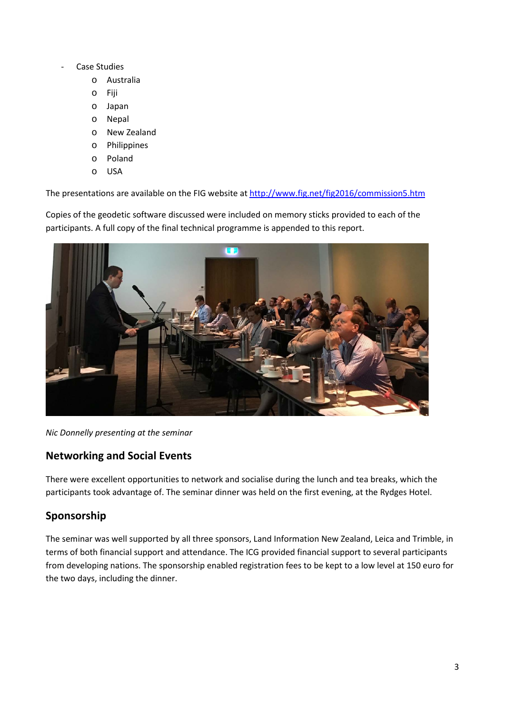- Case Studies
	- o Australia
	- o Fiji
	- o Japan
	- o Nepal
	- o New Zealand
	- o Philippines
	- o Poland
	- o USA

The presentations are available on the FIG website at<http://www.fig.net/fig2016/commission5.htm>

Copies of the geodetic software discussed were included on memory sticks provided to each of the participants. A full copy of the final technical programme is appended to this report.



*Nic Donnelly presenting at the seminar*

### **Networking and Social Events**

There were excellent opportunities to network and socialise during the lunch and tea breaks, which the participants took advantage of. The seminar dinner was held on the first evening, at the Rydges Hotel.

## **Sponsorship**

The seminar was well supported by all three sponsors, Land Information New Zealand, Leica and Trimble, in terms of both financial support and attendance. The ICG provided financial support to several participants from developing nations. The sponsorship enabled registration fees to be kept to a low level at 150 euro for the two days, including the dinner.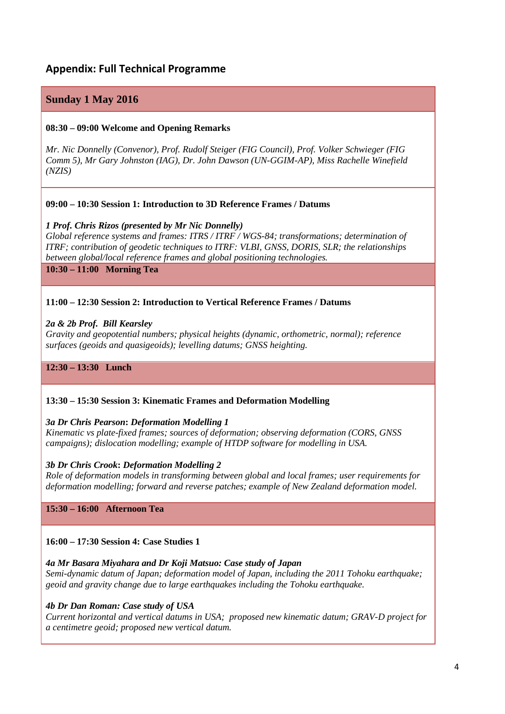### **Appendix: Full Technical Programme**

### **Sunday 1 May 2016**

#### **08:30 – 09:00 Welcome and Opening Remarks**

*Mr. Nic Donnelly (Convenor), Prof. Rudolf Steiger (FIG Council), Prof. Volker Schwieger (FIG Comm 5), Mr Gary Johnston (IAG), Dr. John Dawson (UN-GGIM-AP), Miss Rachelle Winefield (NZIS)*

#### **09:00 – 10:30 Session 1: Introduction to 3D Reference Frames / Datums**

#### *1 Prof. Chris Rizos (presented by Mr Nic Donnelly)*

*Global reference systems and frames: ITRS / ITRF / WGS-84; transformations; determination of ITRF; contribution of geodetic techniques to ITRF: VLBI, GNSS, DORIS, SLR; the relationships between global/local reference frames and global positioning technologies.*

**10:30 – 11:00 Morning Tea**

#### **11:00 – 12:30 Session 2: Introduction to Vertical Reference Frames / Datums**

#### *2a & 2b Prof. Bill Kearsley*

*Gravity and geopotential numbers; physical heights (dynamic, orthometric, normal); reference surfaces (geoids and quasigeoids); levelling datums; GNSS heighting.*

**12:30 – 13:30 Lunch**

#### **13:30 – 15:30 Session 3: Kinematic Frames and Deformation Modelling**

#### *3a Dr Chris Pearson***:** *Deformation Modelling 1*

*Kinematic vs plate-fixed frames; sources of deformation; observing deformation (CORS, GNSS campaigns); dislocation modelling; example of HTDP software for modelling in USA.*

#### *3b Dr Chris Crook***:** *Deformation Modelling 2*

*Role of deformation models in transforming between global and local frames; user requirements for deformation modelling; forward and reverse patches; example of New Zealand deformation model.*

#### **15:30 – 16:00 Afternoon Tea**

#### **16:00 – 17:30 Session 4: Case Studies 1**

#### *4a Mr Basara Miyahara and Dr Koji Matsuo: Case study of Japan*

*Semi-dynamic datum of Japan; deformation model of Japan, including the 2011 Tohoku earthquake; geoid and gravity change due to large earthquakes including the Tohoku earthquake.*

#### *4b Dr Dan Roman: Case study of USA*

*Current horizontal and vertical datums in USA; proposed new kinematic datum; GRAV-D project for a centimetre geoid; proposed new vertical datum.*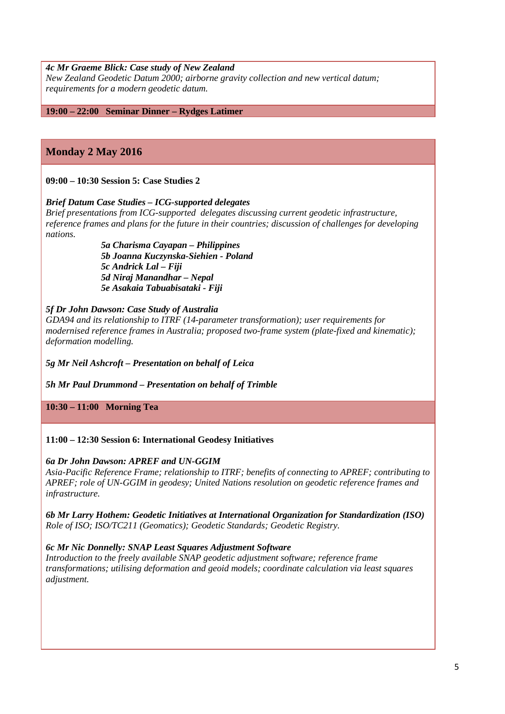#### *4c Mr Graeme Blick: Case study of New Zealand*

*New Zealand Geodetic Datum 2000; airborne gravity collection and new vertical datum; requirements for a modern geodetic datum.*

**19:00 – 22:00 Seminar Dinner – Rydges Latimer**

### **Monday 2 May 2016**

**09:00 – 10:30 Session 5: Case Studies 2**

#### *Brief Datum Case Studies – ICG-supported delegates*

*Brief presentations from ICG-supported delegates discussing current geodetic infrastructure, reference frames and plans for the future in their countries; discussion of challenges for developing nations.*

> *5a Charisma Cayapan – Philippines 5b Joanna Kuczynska-Siehien - Poland 5c Andrick Lal – Fiji 5d Niraj Manandhar – Nepal 5e Asakaia Tabuabisataki - Fiji*

#### *5f Dr John Dawson: Case Study of Australia*

*GDA94 and its relationship to ITRF (14-parameter transformation); user requirements for modernised reference frames in Australia; proposed two-frame system (plate-fixed and kinematic); deformation modelling.*

*5g Mr Neil Ashcroft – Presentation on behalf of Leica*

*5h Mr Paul Drummond – Presentation on behalf of Trimble*

**10:30 – 11:00 Morning Tea**

#### **11:00 – 12:30 Session 6: International Geodesy Initiatives**

#### *6a Dr John Dawson: APREF and UN-GGIM*

*Asia-Pacific Reference Frame; relationship to ITRF; benefits of connecting to APREF; contributing to APREF; role of UN-GGIM in geodesy; United Nations resolution on geodetic reference frames and infrastructure.*

*6b Mr Larry Hothem: Geodetic Initiatives at International Organization for Standardization (ISO) Role of ISO; ISO/TC211 (Geomatics); Geodetic Standards; Geodetic Registry.*

#### *6c Mr Nic Donnelly: SNAP Least Squares Adjustment Software*

*Introduction to the freely available SNAP geodetic adjustment software; reference frame transformations; utilising deformation and geoid models; coordinate calculation via least squares adjustment.*